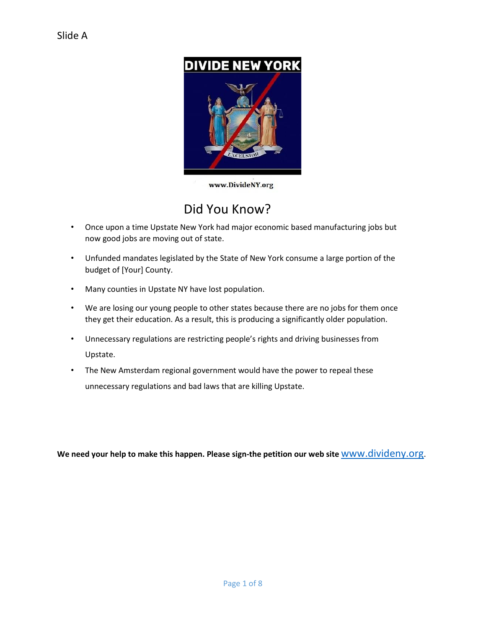

www.DivideNY.org

## Did You Know?

- Once upon a time Upstate New York had major economic based manufacturing jobs but now good jobs are moving out of state.
- Unfunded mandates legislated by the State of New York consume a large portion of the budget of [Your] County.
- Many counties in Upstate NY have lost population.
- We are losing our young people to other states because there are no jobs for them once they get their education. As a result, this is producing a significantly older population.
- Unnecessary regulations are restricting people's rights and driving businesses from Upstate.
- The New Amsterdam regional government would have the power to repeal these unnecessary regulations and bad laws that are killing Upstate.

**We need your help to make this happen. Please sign-the petition our web site** [www.divideny.org](http://www.divideny.org/)[.](http://www.divideny.org/)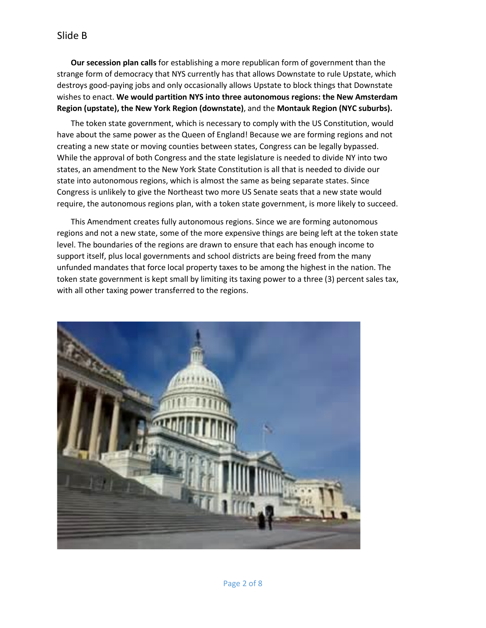**Our secession plan calls** for establishing a more republican form of government than the strange form of democracy that NYS currently has that allows Downstate to rule Upstate, which destroys good-paying jobs and only occasionally allows Upstate to block things that Downstate wishes to enact. **We would partition NYS into three autonomous regions: the New Amsterdam Region (upstate), the New York Region (downstate)**, and the **Montauk Region (NYC suburbs).** 

The token state government, which is necessary to comply with the US Constitution, would have about the same power as the Queen of England! Because we are forming regions and not creating a new state or moving counties between states, Congress can be legally bypassed. While the approval of both Congress and the state legislature is needed to divide NY into two states, an amendment to the New York State Constitution is all that is needed to divide our state into autonomous regions, which is almost the same as being separate states. Since Congress is unlikely to give the Northeast two more US Senate seats that a new state would require, the autonomous regions plan, with a token state government, is more likely to succeed.

This Amendment creates fully autonomous regions. Since we are forming autonomous regions and not a new state, some of the more expensive things are being left at the token state level. The boundaries of the regions are drawn to ensure that each has enough income to support itself, plus local governments and school districts are being freed from the many unfunded mandates that force local property taxes to be among the highest in the nation. The token state government is kept small by limiting its taxing power to a three (3) percent sales tax, with all other taxing power transferred to the regions.

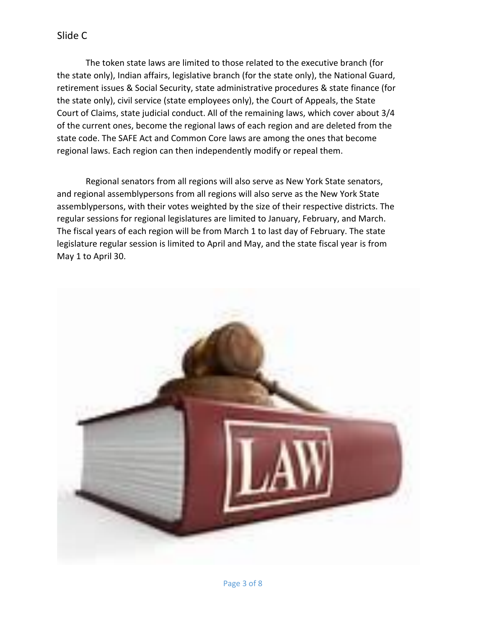### Slide C

The token state laws are limited to those related to the executive branch (for the state only), Indian affairs, legislative branch (for the state only), the National Guard, retirement issues & Social Security, state administrative procedures & state finance (for the state only), civil service (state employees only), the Court of Appeals, the State Court of Claims, state judicial conduct. All of the remaining laws, which cover about 3/4 of the current ones, become the regional laws of each region and are deleted from the state code. The SAFE Act and Common Core laws are among the ones that become regional laws. Each region can then independently modify or repeal them.

Regional senators from all regions will also serve as New York State senators, and regional assemblypersons from all regions will also serve as the New York State assemblypersons, with their votes weighted by the size of their respective districts. The regular sessions for regional legislatures are limited to January, February, and March. The fiscal years of each region will be from March 1 to last day of February. The state legislature regular session is limited to April and May, and the state fiscal year is from May 1 to April 30.

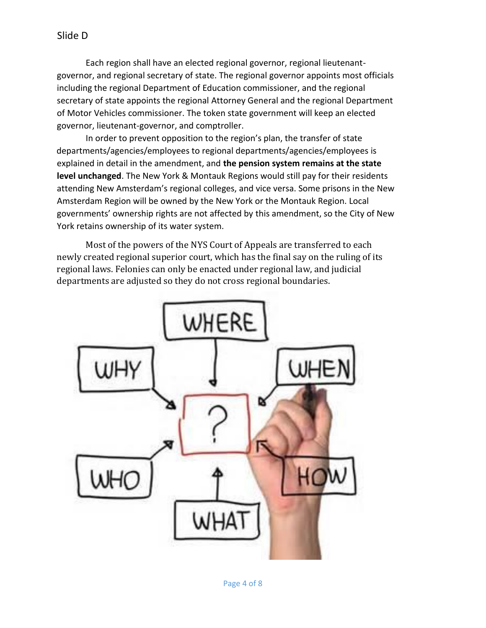Each region shall have an elected regional governor, regional lieutenantgovernor, and regional secretary of state. The regional governor appoints most officials including the regional Department of Education commissioner, and the regional secretary of state appoints the regional Attorney General and the regional Department of Motor Vehicles commissioner. The token state government will keep an elected governor, lieutenant-governor, and comptroller.

 In order to prevent opposition to the region's plan, the transfer of state departments/agencies/employees to regional departments/agencies/employees is explained in detail in the amendment, and **the pension system remains at the state level unchanged**. The New York & Montauk Regions would still pay for their residents attending New Amsterdam's regional colleges, and vice versa. Some prisons in the New Amsterdam Region will be owned by the New York or the Montauk Region. Local governments' ownership rights are not affected by this amendment, so the City of New York retains ownership of its water system.

Most of the powers of the NYS Court of Appeals are transferred to each newly created regional superior court, which has the final say on the ruling of its regional laws. Felonies can only be enacted under regional law, and judicial departments are adjusted so they do not cross regional boundaries.

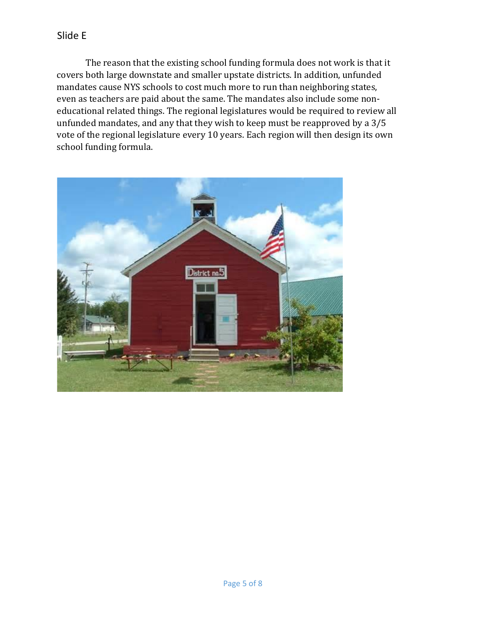The reason that the existing school funding formula does not work is that it covers both large downstate and smaller upstate districts. In addition, unfunded mandates cause NYS schools to cost much more to run than neighboring states, even as teachers are paid about the same. The mandates also include some noneducational related things. The regional legislatures would be required to review all unfunded mandates, and any that they wish to keep must be reapproved by a 3/5 vote of the regional legislature every 10 years. Each region will then design its own school funding formula.

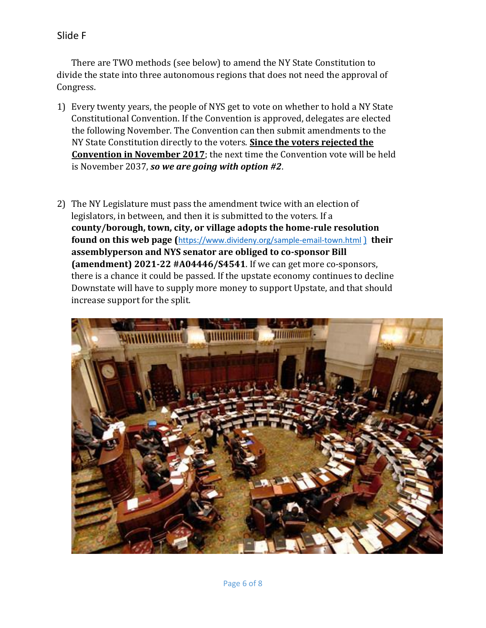Slide F

There are TWO methods (see below) to amend the NY State Constitution to divide the state into three autonomous regions that does not need the approval of Congress.

- 1) Every twenty years, the people of NYS get to vote on whether to hold a NY State Constitutional Convention. If the Convention is approved, delegates are elected the following November. The Convention can then submit amendments to the NY State Constitution directly to the voters. **Since the voters rejected the Convention in November 2017**; the next time the Convention vote will be held is November 2037, *so we are going with option #2*.
- 2) The NY Legislature must pass the amendment twice with an election of legislators, in between, and then it is submitted to the voters. If a **county/borough, town, city, or village adopts the home-rule resolution found on this web page (**<https://www.divideny.org/sample-email-town.html> [\)](http://www.newamsterdamny.org/ask-your-county.html) **their assemblyperson and NYS senator are obliged to co-sponsor Bill (amendment) 2021-22 #A04446/S4541**. If we can get more co-sponsors, there is a chance it could be passed. If the upstate economy continues to decline Downstate will have to supply more money to support Upstate, and that should increase support for the split.

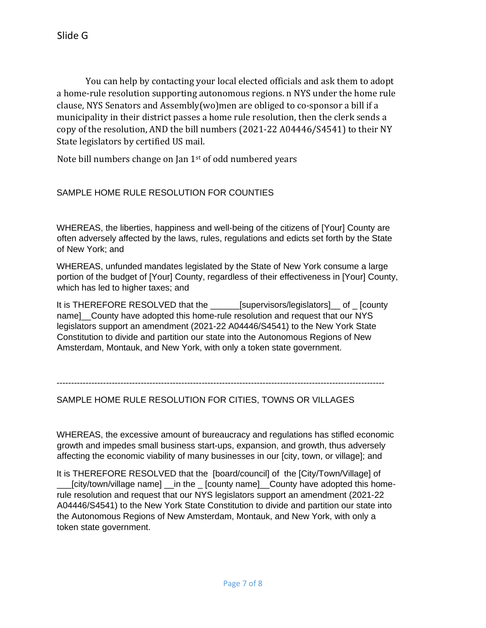You can help by contacting your local elected officials and ask them to adopt a home-rule resolution supporting autonomous regions. n NYS under the home rule clause, NYS Senators and Assembly(wo)men are obliged to co-sponsor a bill if a municipality in their district passes a home rule resolution, then the clerk sends a copy of the resolution, AND the bill numbers (2021-22 A04446/S4541) to their NY State legislators by certified US mail.

Note bill numbers change on Jan 1<sup>st</sup> of odd numbered years

#### SAMPLE HOME RULE RESOLUTION FOR COUNTIES

WHEREAS, the liberties, happiness and well-being of the citizens of [Your] County are often adversely affected by the laws, rules, regulations and edicts set forth by the State of New York; and

WHEREAS, unfunded mandates legislated by the State of New York consume a large portion of the budget of [Your] County, regardless of their effectiveness in [Your] County, which has led to higher taxes; and

It is THEREFORE RESOLVED that the \_\_\_\_\_\_[supervisors/legislators]\_\_ of \_ [county name] County have adopted this home-rule resolution and request that our NYS legislators support an amendment (2021-22 A04446/S4541) to the New York State Constitution to divide and partition our state into the Autonomous Regions of New Amsterdam, Montauk, and New York, with only a token state government.

-----------------------------------------------------------------------------------------------------------------

#### SAMPLE HOME RULE RESOLUTION FOR CITIES, TOWNS OR VILLAGES

WHEREAS, the excessive amount of bureaucracy and regulations has stifled economic growth and impedes small business start-ups, expansion, and growth, thus adversely affecting the economic viability of many businesses in our [city, town, or village]; and

It is THEREFORE RESOLVED that the [board/council] of the [City/Town/Village] of \_\_\_[city/town/village name] \_\_in the \_ [county name]\_\_County have adopted this homerule resolution and request that our NYS legislators support an amendment (2021-22 A04446/S4541) to the New York State Constitution to divide and partition our state into the Autonomous Regions of New Amsterdam, Montauk, and New York, with only a token state government.